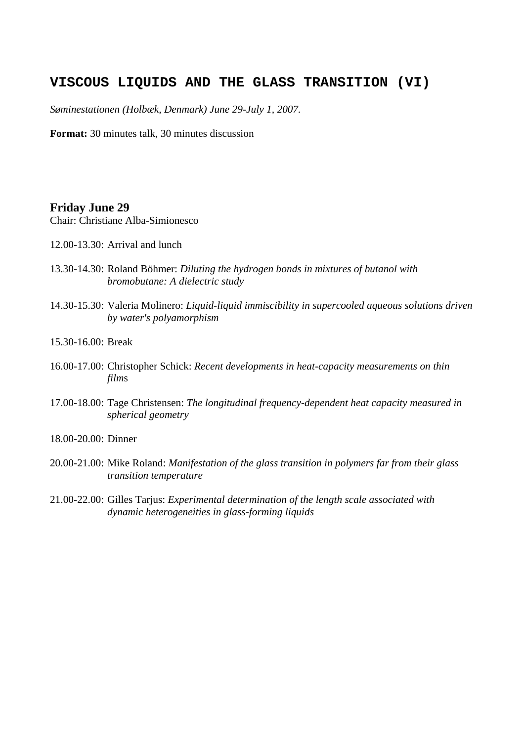## **VISCOUS LIQUIDS AND THE GLASS TRANSITION (VI)**

*Søminestationen (Holbæk, Denmark) June 29-July 1, 2007.*

**Format:** 30 minutes talk, 30 minutes discussion

## **Friday June 29**

Chair: Christiane Alba-Simionesco

- 12.00-13.30: Arrival and lunch
- 13.30-14.30: Roland Böhmer: *Diluting the hydrogen bonds in mixtures of butanol with bromobutane: A dielectric study*
- 14.30-15.30: Valeria Molinero: *Liquid-liquid immiscibility in supercooled aqueous solutions driven by water's polyamorphism*
- 15.30-16.00: Break
- 16.00-17.00: Christopher Schick: *Recent developments in heat-capacity measurements on thin film*s
- 17.00-18.00: Tage Christensen: *The longitudinal frequency-dependent heat capacity measured in spherical geometry*
- 18.00-20.00: Dinner
- 20.00-21.00: Mike Roland: *Manifestation of the glass transition in polymers far from their glass transition temperature*
- 21.00-22.00: Gilles Tarjus: *Experimental determination of the length scale associated with dynamic heterogeneities in glass-forming liquids*